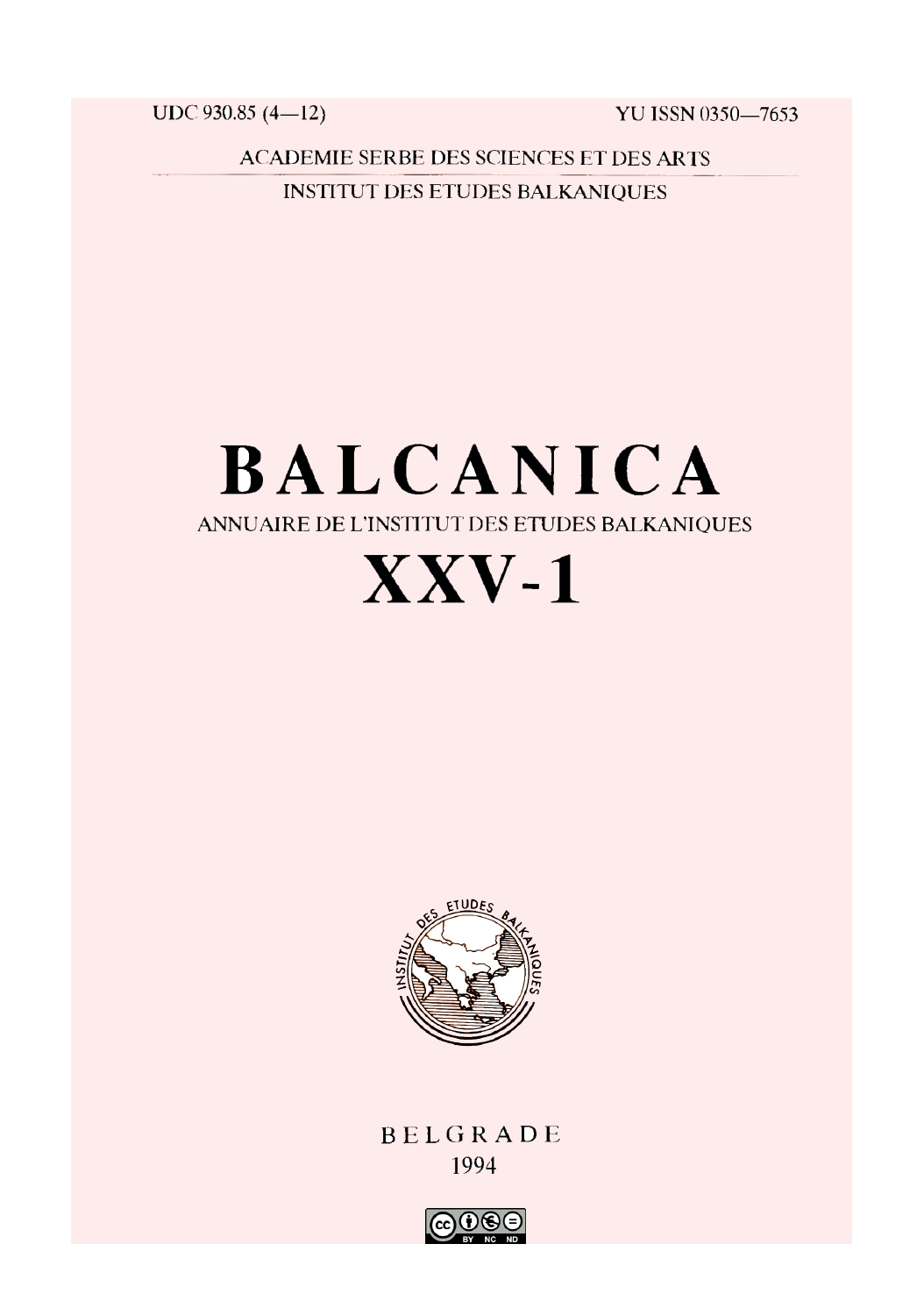UDC 930.85 (4-12)

YU ISSN 0350-7653

**ACADEMIE SERBE DES SCIENCES ET DES ARTS INSTITUT DES ETUDES BALKANIOUES** 

# **BALCANICA** ANNUAIRE DE L'INSTITUT DES ETUDES BALKANIQUES  $\bf XXV-1$



BELGRADE 1994

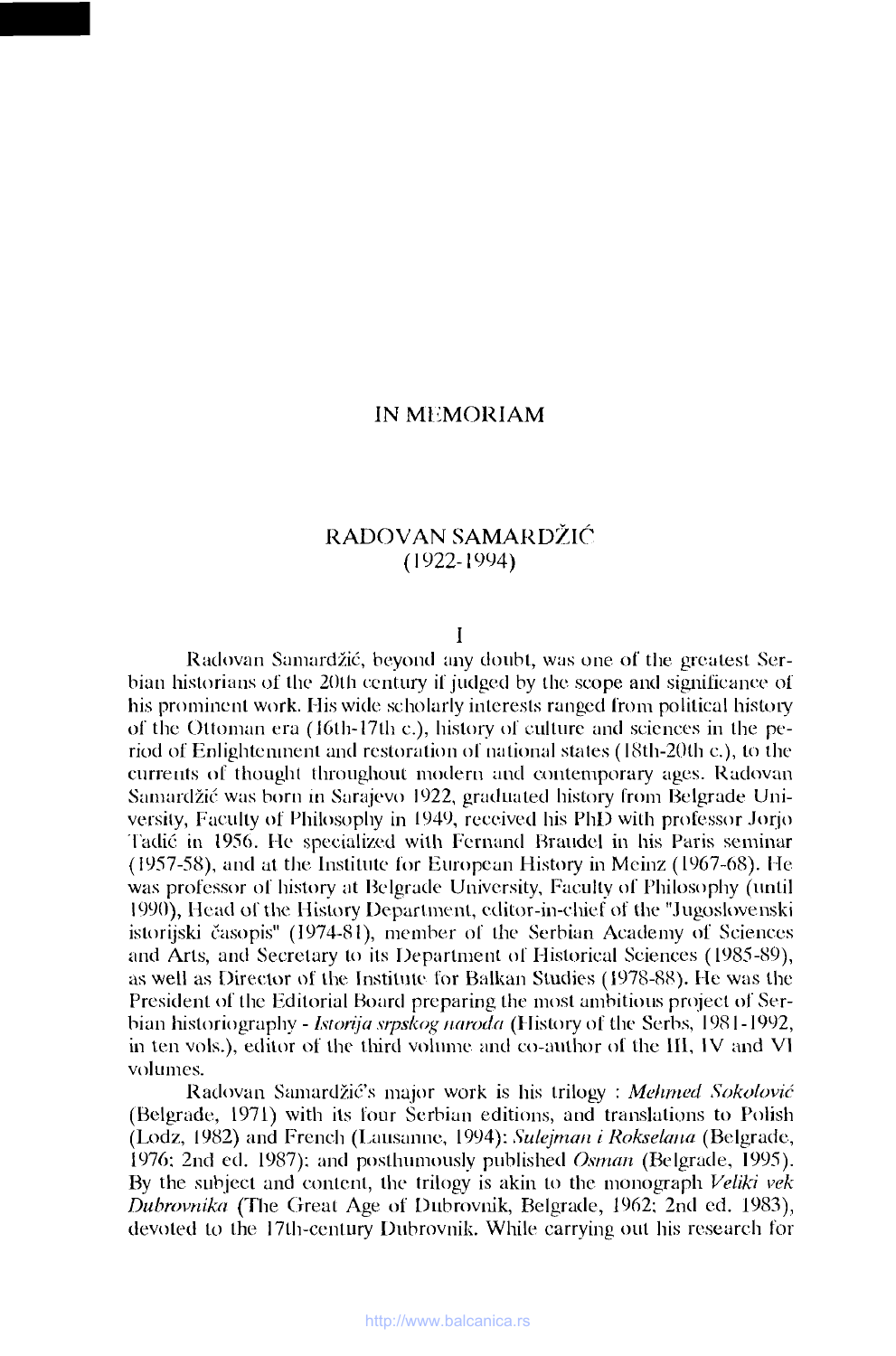## **IN Ml iMORIAM**

## **RADOVAN SAMARDŽIĆ** (1922-1994)

### **I**

Radovan Samardžić, beyond any doubt, was one of the greatest Serbian historians of the 20th century if judged by the scope and significance of his prominent work. His wide scholarly interests ranged from political history of the Ottoman era (16th-17th c.), history of culture and sciences in the period of Enlightenment and restoration ol national stales (18th-20th c.), to the currents of thought throughout modern and contemporary ages. Radovan Samardžić was born in Sarajevo 1922, graduated history from Belgrade University, Faculty of Philosophy in 1949, received his PhD with professor Jorjo Tadic in 1956. He specialized with Fernand Braudel in his Paris seminar (1957-58), and at the Institute for European History in Meinz (1967-68). He was professor of history at Belgrade University, Faculty of Philosophy (until 1990), Head of the History Department, editor-in-chief of the "Jugoslovenski istorijski časopis" (1974-81), member of the Serbian Academy of Sciences and Arts, and Secretary to its Department of Historical Sciences (1985-89), as well as Director of the Institute for Balkan Studies (1978-88). He was the President of the Editorial Board preparing the most ambitious project of Serbian historiography - */storija srpskog naroda* (History of the Serbs, 1981 -1992, in ten vols.), editor of the third volume and co-author of the 111, IV and VI volumes.

Radovan Samardžić's major work is his trilogy : *Mehrned Sokolović* (Belgrade, 1971) with its four Serbian editions, and translations to Polish (Lodz, 1982) and French (Lausanne, 1994): *Sulejman i Rokselana* (Belgrade, 1976: 2nd ed. 1987); and posthumously published *Osman* (Belgrade, 1995). By the subject and content, the trilogy is akin to the monograph *Veliki vek Dubrovnika* (The Great Age of Dubrovnik, Belgrade, 1962; 2nd ed. 1983), devoted to the 17th-century Dubrovnik. While carrying out his research for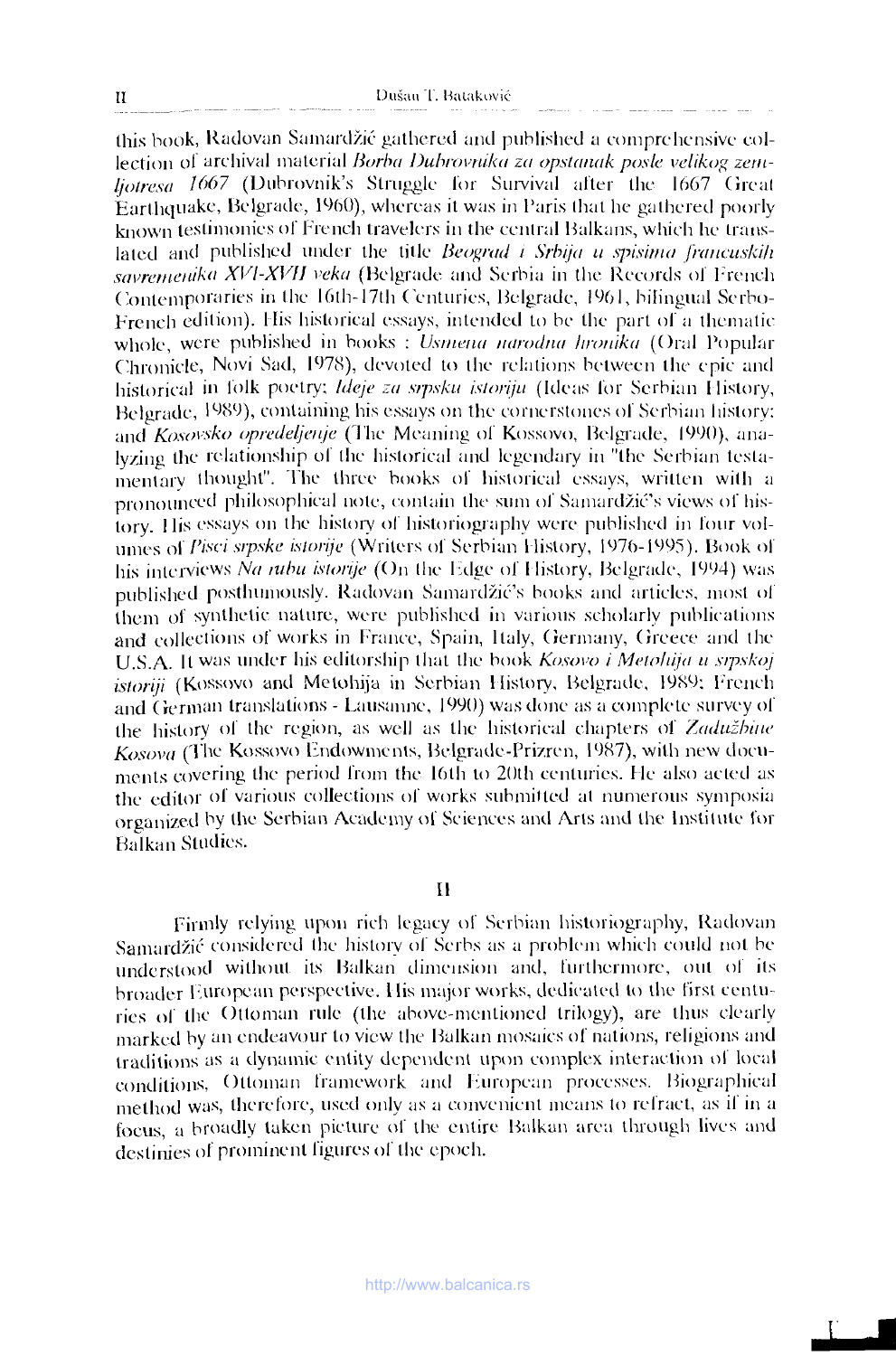this book, Radovan Samardzic gathered and published a comprehensive collection of archival material *Burba Duhrovnika za opstanak posle velikog zern-Ijotresa 1667* (Dubrovnik's Struggle for Survival after the 1667 Great Earthquake, Belgrade, 1960), whereas it was in Paris that he gathered poorly known testimonies of French travelers in the central Balkans, which he translated and published under the title *Beograd t Srbija u spisima francuskih savrernenika XVI-XVIJ veka* (Belgrade and Serbia in the Records of French Contemporaries in the 16lh- 17th Centuries, Belgrade, 1961, bilingual Scrbo-French edition). His historical essays, intended to be the part of a thematic whole, were published in books : *Usmena narodna hronika* (Oral Popular Chronicle, Novi Sad, 1978), devoted to the relations between the epic and historical in folk poetry; *Ideje za srpsku istoriju* (Ideas for Serbian History, Belgrade, 1989), containing his essays on the cornerstones of Serbian history; and *Kosovsko opredeljenje* (The Meaning of Kossovo, Belgrade, 1990), analyzing the relationship of the historical and legendary in "the Serbian testamentary thought". The three books of historical essays, written with a pronounced philosophical note, contain the sum of Samardzic's views of history. His essays on the history of historiography were published in four volumes of *Pisci srpske istorije* (Writers of Serbian History, 1976-1995). Book of his interviews *Na rubu istorije* (On the Edge of History, Belgrade, 1994) was published posthumously. Radovan Samardzic's books and articles, most of them of synthetic nature, were published in various scholarly publications and collections of works in France, Spain, Italy, Germany, Greece and the U.S.A. It was under his editorship that the book *Kosovo i Metohija u stpskoj istoriji* (Kossovo and Metohija in Serbian History, Belgrade, 1989; French and German translations - Lausanne, 1990) was done as a complete survey of the history of the region, as well as the historical chapters of *Zaduzhitie Kosova* (The Kossovo Endowments, Belgrade-Prizren, 1987), with new documents covering the period from the 16th to 20th centuries. He also acted as the editor of various collections of works submitted at numerous symposia organized by the Serbian Academy of Sciences and Arts and the Institute for Balkan Studies.

II

Firmly relying upon rich legacy of Serbian historiography, Radovan Samardzic considered the history of Serbs as a problem which could not be understood without its Balkan dimension and, furthermore, out of its broader European perspective. His major works, dedicated to the first centuries of the Ottoman rule (the above-mentioned trilogy), are thus clearly marked by an endeavour to view the Balkan mosaics of nations, religions and traditions as a dynamic entity dependent upon complex interaction ol local conditions, Ottoman framework and European processes. Biographical method was, therefore, used only as a convenient means to refract, as il in a focus, a broadly taken picture of the entire Balkan area through lives and destinies of prominent figures of the epoch.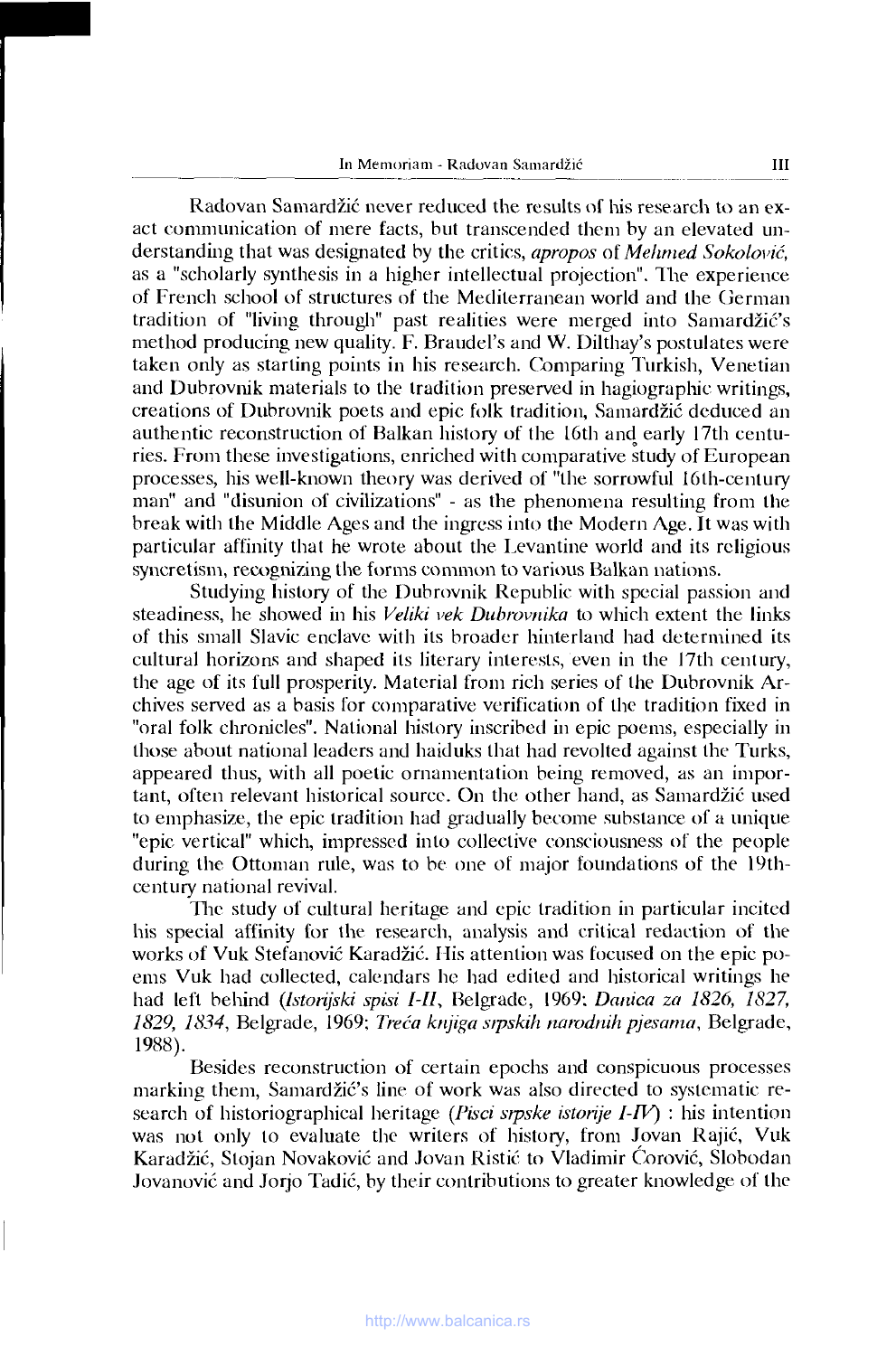Radovan Samardžić never reduced the results of his research to an exact communication of mere facts, but transcended them by an elevated understanding that was designated by the critics, *apropos* of *Mehrned Sokolović,* as a "scholarly synthesis in a higher intellectual projection". The experience of French school of structures of the Mediterranean world and the German tradition of "living through" past realities were merged into Sanrarđžić's method producing new quality. F. Braudel's and W. Dilthay's postulates were taken only as starting points in his research. Comparing Turkish, Venetian and Dubrovnik materials to the tradition preserved in hagiographic writings, creations of Dubrovnik poets and epic folk tradition, Samardžić deduced an authentic reconstruction of Balkan history of the L6th and early 17th centuries. From these investigations, enriched with comparative study of European processes, his well-known theory was derived of "the sorrowful 16th-century man" and "disunion of civilizations" - as the phenomena resulting from the break with the Middle Ages and the ingress into the Modern Age. It was with particular affinity that he wrote about the Levantine world and its religious syncretism, recognizing the forms common to various Balkan nations.

Studying history of the Dubrovnik Republic with special passion and steadiness, he showed in his *Veliki vek Dubrovnika* to which extent the links of this small Slavic enclave with its broader hinterland had determined its cultural horizons and shaped its literary interests, even in the 17th century, the age of its full prosperity. Material from rich series of the Dubrovnik Archives served as a basis for comparative verification of the tradition fixed in "oral folk chronicles". National history inscribed in epic poems, especially in those about national leaders and haiduks that had revolted against the Turks, appeared thus, with all poetic ornamentation being removed, as an important, often relevant historical source. On the other hand, as Samardžić used to emphasize, the epic tradition had gradually become substance of a unique "epic vertical" which, impressed into collective consciousness of the people during the Ottoman rule, was to be one of major foundations of the 19thcentury national revival.

The study of cultural heritage and epic tradition in particular incited his special affinity for the research, analysis and critical redaction of the works of Vuk Stefanović Karadžić. His attention was focused on the epic poems Vuk had collected, calendars he had edited and historical writings he had left behind (*Istorijski spisi l-ll,* Belgrade, 1969; *Danica za 1826, 1827, 1829, 1834,* Belgrade, 1969; *Treća knjiga srpskih narodnih pjesama,* Belgrade, 1988).

Besides reconstruction of certain epochs and conspicuous processes marking them, Samardžić's line of work was also directed to systematic research of historiographical heritage (*Pisci srpske istorije I-IV)* : his intention was not only to evaluate the writers of history, from Jovan Rajić, Vuk Karadžić, Stojan Novaković and Jovan Ristić to Vladimir Corović, Slobodan Jovanović and Jorjo Tadić, by their contributions to greater knowledge of the